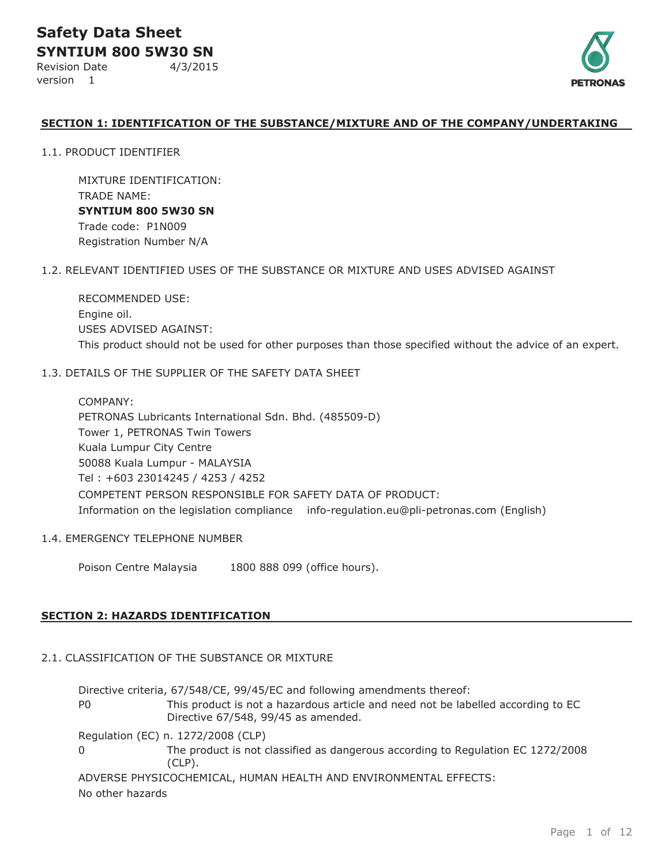Revision Date 4/3/2015 version 1



#### **SECTION 1: IDENTIFICATION OF THE SUBSTANCE/MIXTURE AND OF THE COMPANY/UNDERTAKING**

1.1. PRODUCT IDENTIFIER

MIXTURE IDENTIFICATION: TRADE NAME: **SYNTIUM 800 5W30 SN** Trade code: P1N009 Registration Number N/A

#### 1.2. RELEVANT IDENTIFIED USES OF THE SUBSTANCE OR MIXTURE AND USES ADVISED AGAINST

RECOMMENDED USE: Engine oil. USES ADVISED AGAINST: This product should not be used for other purposes than those specified without the advice of an expert.

#### 1.3. DETAILS OF THE SUPPLIER OF THE SAFETY DATA SHEET

COMPANY: PETRONAS Lubricants International Sdn. Bhd. (485509-D) Tower 1, PETRONAS Twin Towers Kuala Lumpur City Centre 50088 Kuala Lumpur - MALAYSIA Tel : +603 23014245 / 4253 / 4252 COMPETENT PERSON RESPONSIBLE FOR SAFETY DATA OF PRODUCT: Information on the legislation compliance info-regulation.eu@pli-petronas.com (English)

#### 1.4. EMERGENCY TELEPHONE NUMBER

Poison Centre Malaysia 1800 888 099 (office hours).

#### **SECTION 2: HAZARDS IDENTIFICATION**

### 2.1. CLASSIFICATION OF THE SUBSTANCE OR MIXTURE

Directive criteria, 67/548/CE, 99/45/EC and following amendments thereof: P0 This product is not a hazardous article and need not be labelled according to EC Directive 67/548, 99/45 as amended. Regulation (EC) n. 1272/2008 (CLP) 0 The product is not classified as dangerous according to Regulation EC 1272/2008 (CLP).

ADVERSE PHYSICOCHEMICAL, HUMAN HEALTH AND ENVIRONMENTAL EFFECTS: No other hazards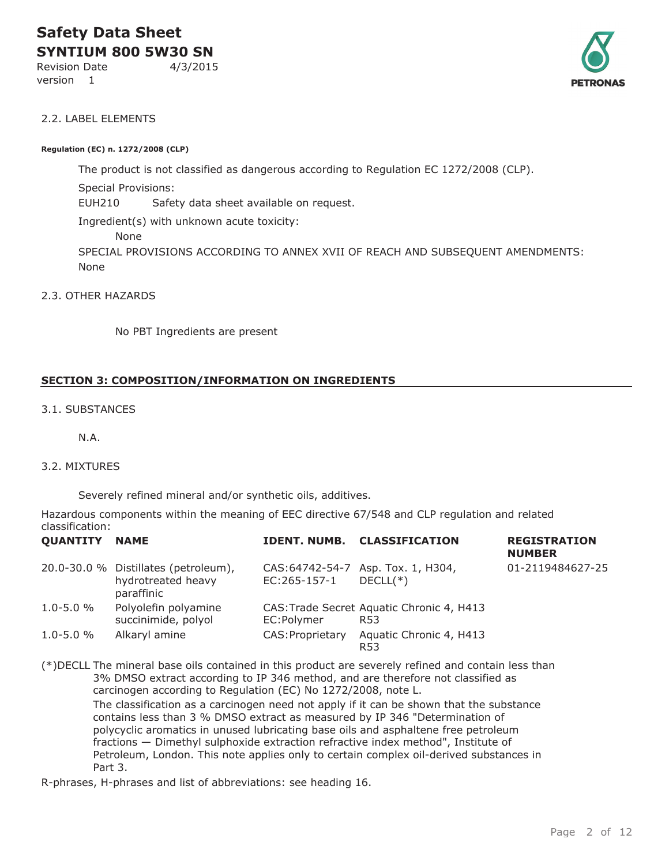Revision Date 4/3/2015

version 1



#### 2.2. LABEL ELEMENTS

#### **Regulation (EC) n. 1272/2008 (CLP)**

SPECIAL PROVISIONS ACCORDING TO ANNEX XVII OF REACH AND SUBSEQUENT AMENDMENTS: None The product is not classified as dangerous according to Regulation EC 1272/2008 (CLP). Special Provisions: EUH210 Safety data sheet available on request. Ingredient(s) with unknown acute toxicity: None

2.3. OTHER HAZARDS

No PBT Ingredients are present

#### **SECTION 3: COMPOSITION/INFORMATION ON INGREDIENTS**

3.1. SUBSTANCES

N.A.

#### 3.2. MIXTURES

Severely refined mineral and/or synthetic oils, additives.

Hazardous components within the meaning of EEC directive 67/548 and CLP regulation and related classification:

| <b>QUANTITY NAME</b> |                                                                          |                  | <b>IDENT. NUMB. CLASSIFICATION</b>                           | <b>REGISTRATION</b><br><b>NUMBER</b> |
|----------------------|--------------------------------------------------------------------------|------------------|--------------------------------------------------------------|--------------------------------------|
|                      | 20.0-30.0 % Distillates (petroleum),<br>hydrotreated heavy<br>paraffinic | EC:265-157-1     | CAS:64742-54-7 Asp. Tox. 1, H304,<br>$DECLL(*)$              | 01-2119484627-25                     |
| $1.0 - 5.0 %$        | Polyolefin polyamine<br>succinimide, polyol                              | EC:Polymer       | CAS: Trade Secret Aquatic Chronic 4, H413<br>R <sub>53</sub> |                                      |
| $1.0 - 5.0 %$        | Alkaryl amine                                                            | CAS: Proprietary | Aquatic Chronic 4, H413<br>R <sub>53</sub>                   |                                      |

(\*)DECLL The mineral base oils contained in this product are severely refined and contain less than 3% DMSO extract according to IP 346 method, and are therefore not classified as carcinogen according to Regulation (EC) No 1272/2008, note L.

The classification as a carcinogen need not apply if it can be shown that the substance contains less than 3 % DMSO extract as measured by IP 346 "Determination of polycyclic aromatics in unused lubricating base oils and asphaltene free petroleum fractions — Dimethyl sulphoxide extraction refractive index method", Institute of Petroleum, London. This note applies only to certain complex oil-derived substances in Part 3.

R-phrases, H-phrases and list of abbreviations: see heading 16.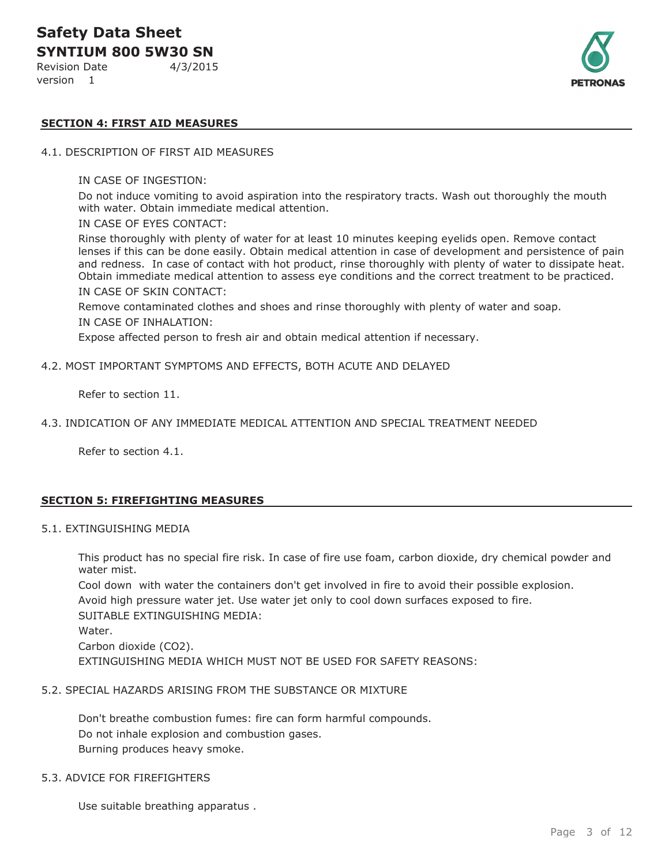Revision Date 4/3/2015

version 1



#### **SECTION 4: FIRST AID MEASURES**

#### 4.1. DESCRIPTION OF FIRST AID MEASURES

#### IN CASE OF INGESTION:

Do not induce vomiting to avoid aspiration into the respiratory tracts. Wash out thoroughly the mouth with water. Obtain immediate medical attention.

#### IN CASE OF EYES CONTACT:

Rinse thoroughly with plenty of water for at least 10 minutes keeping eyelids open. Remove contact lenses if this can be done easily. Obtain medical attention in case of development and persistence of pain and redness. In case of contact with hot product, rinse thoroughly with plenty of water to dissipate heat. Obtain immediate medical attention to assess eye conditions and the correct treatment to be practiced. IN CASE OF SKIN CONTACT:

Remove contaminated clothes and shoes and rinse thoroughly with plenty of water and soap. IN CASE OF INHALATION:

Expose affected person to fresh air and obtain medical attention if necessary.

#### 4.2. MOST IMPORTANT SYMPTOMS AND EFFECTS, BOTH ACUTE AND DELAYED

Refer to section 11.

#### 4.3. INDICATION OF ANY IMMEDIATE MEDICAL ATTENTION AND SPECIAL TREATMENT NEEDED

Refer to section 4.1.

#### **SECTION 5: FIREFIGHTING MEASURES**

#### 5.1. EXTINGUISHING MEDIA

This product has no special fire risk. In case of fire use foam, carbon dioxide, dry chemical powder and water mist.

Cool down with water the containers don't get involved in fire to avoid their possible explosion. Avoid high pressure water jet. Use water jet only to cool down surfaces exposed to fire. SUITABLE EXTINGUISHING MEDIA: Water. Carbon dioxide (CO2). EXTINGUISHING MEDIA WHICH MUST NOT BE USED FOR SAFETY REASONS:

#### 5.2. SPECIAL HAZARDS ARISING FROM THE SUBSTANCE OR MIXTURE

Don't breathe combustion fumes: fire can form harmful compounds. Do not inhale explosion and combustion gases. Burning produces heavy smoke.

#### 5.3. ADVICE FOR FIREFIGHTERS

Use suitable breathing apparatus .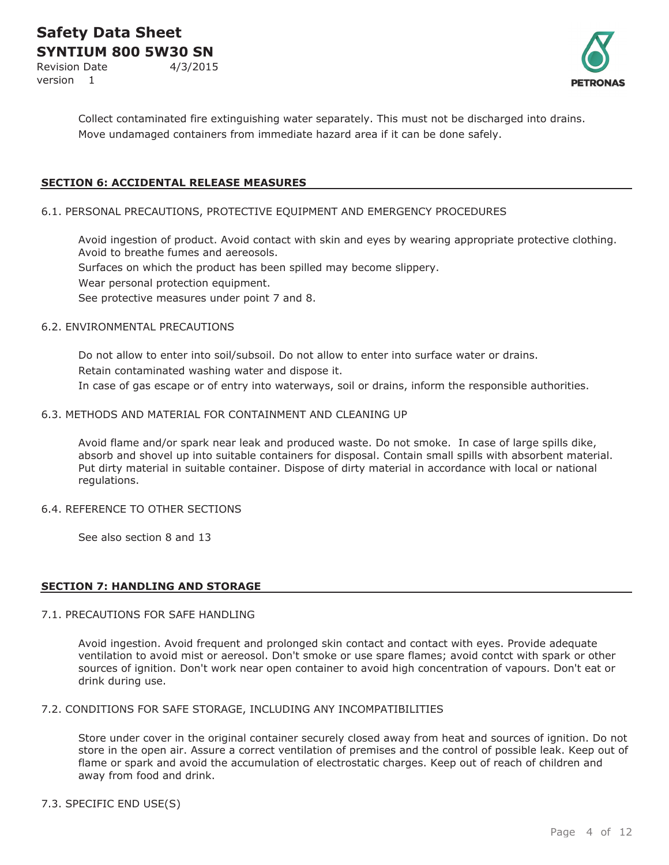Revision Date 4/3/2015 version 1



Collect contaminated fire extinguishing water separately. This must not be discharged into drains. Move undamaged containers from immediate hazard area if it can be done safely.

#### **SECTION 6: ACCIDENTAL RELEASE MEASURES**

#### 6.1. PERSONAL PRECAUTIONS, PROTECTIVE EQUIPMENT AND EMERGENCY PROCEDURES

Avoid ingestion of product. Avoid contact with skin and eyes by wearing appropriate protective clothing. Avoid to breathe fumes and aereosols. Surfaces on which the product has been spilled may become slippery. Wear personal protection equipment.

See protective measures under point 7 and 8.

#### 6.2. ENVIRONMENTAL PRECAUTIONS

Do not allow to enter into soil/subsoil. Do not allow to enter into surface water or drains. Retain contaminated washing water and dispose it. In case of gas escape or of entry into waterways, soil or drains, inform the responsible authorities.

#### 6.3. METHODS AND MATERIAL FOR CONTAINMENT AND CLEANING UP

Avoid flame and/or spark near leak and produced waste. Do not smoke. In case of large spills dike, absorb and shovel up into suitable containers for disposal. Contain small spills with absorbent material. Put dirty material in suitable container. Dispose of dirty material in accordance with local or national regulations.

#### 6.4. REFERENCE TO OTHER SECTIONS

See also section 8 and 13

#### **SECTION 7: HANDLING AND STORAGE**

#### 7.1. PRECAUTIONS FOR SAFE HANDLING

Avoid ingestion. Avoid frequent and prolonged skin contact and contact with eyes. Provide adequate ventilation to avoid mist or aereosol. Don't smoke or use spare flames; avoid contct with spark or other sources of ignition. Don't work near open container to avoid high concentration of vapours. Don't eat or drink during use.

#### 7.2. CONDITIONS FOR SAFE STORAGE, INCLUDING ANY INCOMPATIBILITIES

Store under cover in the original container securely closed away from heat and sources of ignition. Do not store in the open air. Assure a correct ventilation of premises and the control of possible leak. Keep out of flame or spark and avoid the accumulation of electrostatic charges. Keep out of reach of children and away from food and drink.

#### 7.3. SPECIFIC END USE(S)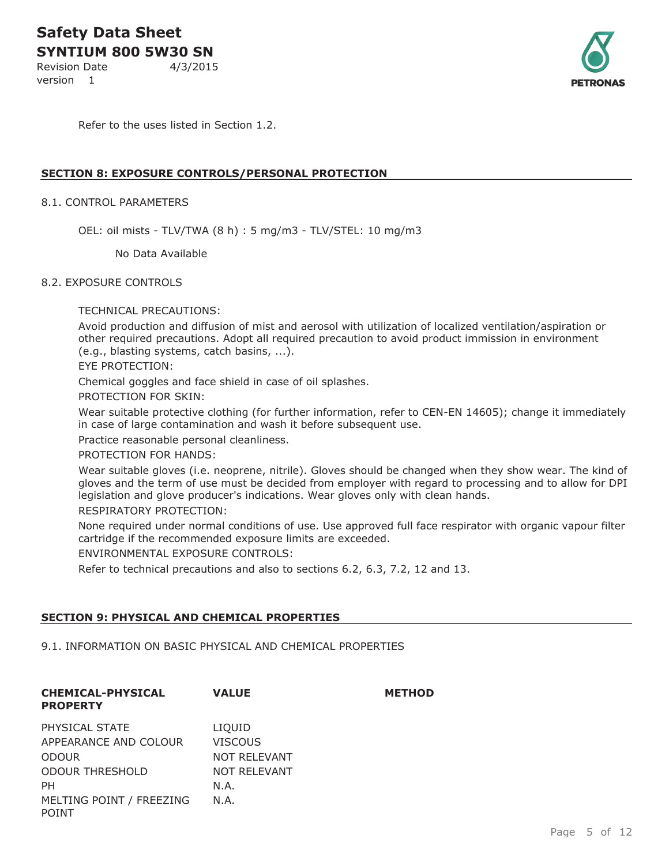Revision Date 4/3/2015

version 1



Refer to the uses listed in Section 1.2.

#### **SECTION 8: EXPOSURE CONTROLS/PERSONAL PROTECTION**

#### 8.1. CONTROL PARAMETERS

OEL: oil mists - TLV/TWA (8 h) : 5 mg/m3 - TLV/STEL: 10 mg/m3

No Data Available

#### 8.2. EXPOSURE CONTROLS

TECHNICAL PRECAUTIONS:

Avoid production and diffusion of mist and aerosol with utilization of localized ventilation/aspiration or other required precautions. Adopt all required precaution to avoid product immission in environment (e.g., blasting systems, catch basins, ...).

EYE PROTECTION:

Chemical goggles and face shield in case of oil splashes.

PROTECTION FOR SKIN:

Wear suitable protective clothing (for further information, refer to CEN-EN 14605); change it immediately in case of large contamination and wash it before subsequent use.

Practice reasonable personal cleanliness.

PROTECTION FOR HANDS:

Wear suitable gloves (i.e. neoprene, nitrile). Gloves should be changed when they show wear. The kind of gloves and the term of use must be decided from employer with regard to processing and to allow for DPI legislation and glove producer's indications. Wear gloves only with clean hands.

RESPIRATORY PROTECTION:

None required under normal conditions of use. Use approved full face respirator with organic vapour filter cartridge if the recommended exposure limits are exceeded.

ENVIRONMENTAL EXPOSURE CONTROLS:

Refer to technical precautions and also to sections 6.2, 6.3, 7.2, 12 and 13.

#### **SECTION 9: PHYSICAL AND CHEMICAL PROPERTIES**

#### 9.1. INFORMATION ON BASIC PHYSICAL AND CHEMICAL PROPERTIES

| <b>CHEMICAL-PHYSICAL</b><br><b>PROPERTY</b> | <b>VALUE</b>        | <b>METHOD</b> |
|---------------------------------------------|---------------------|---------------|
| PHYSICAL STATE                              | LIOUID              |               |
| APPEARANCE AND COLOUR                       | <b>VISCOUS</b>      |               |
| <b>ODOUR</b>                                | <b>NOT RELEVANT</b> |               |
| <b>ODOUR THRESHOLD</b>                      | NOT RELEVANT        |               |
| PH.                                         | N.A.                |               |
| MELTING POINT / FREEZING<br>POINT           | N.A.                |               |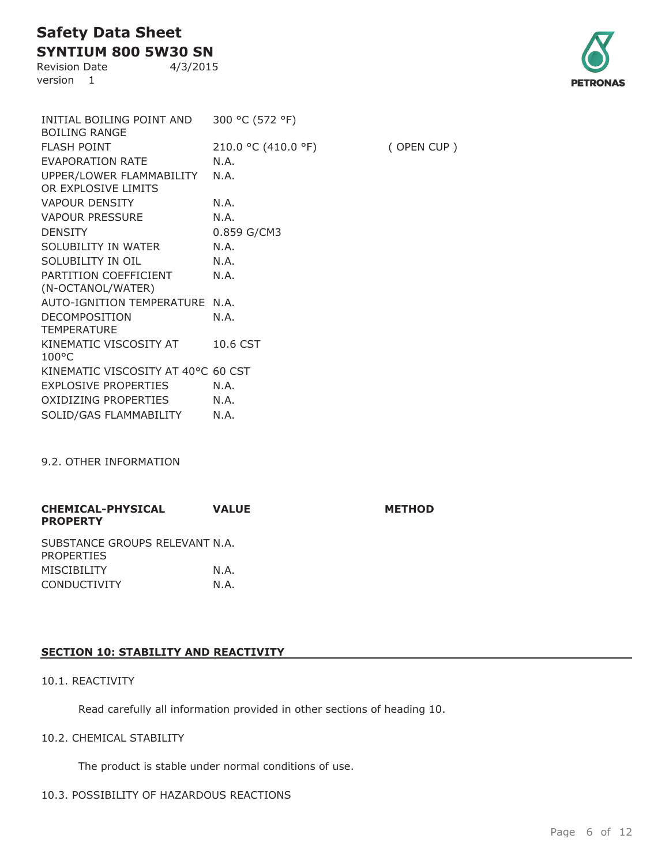**SYNTIUM 800 5W30 SN** Revision Date 4/3/2015

version 1



| INITIAL BOILING POINT AND<br><b>BOILING RANGE</b> | 300 °C (572 °F)     |            |
|---------------------------------------------------|---------------------|------------|
| <b>FLASH POINT</b>                                | 210.0 °C (410.0 °F) | (OPEN CUP) |
| <b>EVAPORATION RATE</b>                           | N.A.                |            |
| UPPER/LOWER FLAMMABILITY<br>OR EXPLOSIVE LIMITS   | N.A.                |            |
| <b>VAPOUR DENSITY</b>                             | N.A.                |            |
| <b>VAPOUR PRESSURE</b>                            | N.A.                |            |
| <b>DENSITY</b>                                    | 0.859 G/CM3         |            |
| SOLUBILITY IN WATER                               | N.A.                |            |
| SOLUBILITY IN OIL                                 | N.A.                |            |
| PARTITION COEFFICIENT<br>(N-OCTANOL/WATER)        | N.A.                |            |
| <b>AUTO-IGNITION TEMPERATURE</b>                  | N.A.                |            |
| DECOMPOSITION<br><b>TEMPERATURE</b>               | N.A.                |            |
| KINEMATIC VISCOSITY AT<br>$100^{\circ}$ C         | 10.6 CST            |            |
| KINEMATIC VISCOSITY AT 40°C 60 CST                |                     |            |
| <b>EXPLOSIVE PROPERTIES</b>                       | N.A.                |            |
| OXIDIZING PROPERTIES                              | N.A.                |            |
| SOLID/GAS FLAMMABILITY                            | N.A.                |            |

9.2. OTHER INFORMATION

| <b>CHEMICAL-PHYSICAL</b><br><b>PROPERTY</b>         | <b>VALUE</b> | <b>METHOD</b> |
|-----------------------------------------------------|--------------|---------------|
| SUBSTANCE GROUPS RELEVANT N.A.<br><b>PROPERTIES</b> |              |               |
| <b>MISCIBILITY</b>                                  | N.A.         |               |
| <b>CONDUCTIVITY</b>                                 | N.A.         |               |

#### **SECTION 10: STABILITY AND REACTIVITY**

#### 10.1. REACTIVITY

Read carefully all information provided in other sections of heading 10.

#### 10.2. CHEMICAL STABILITY

The product is stable under normal conditions of use.

#### 10.3. POSSIBILITY OF HAZARDOUS REACTIONS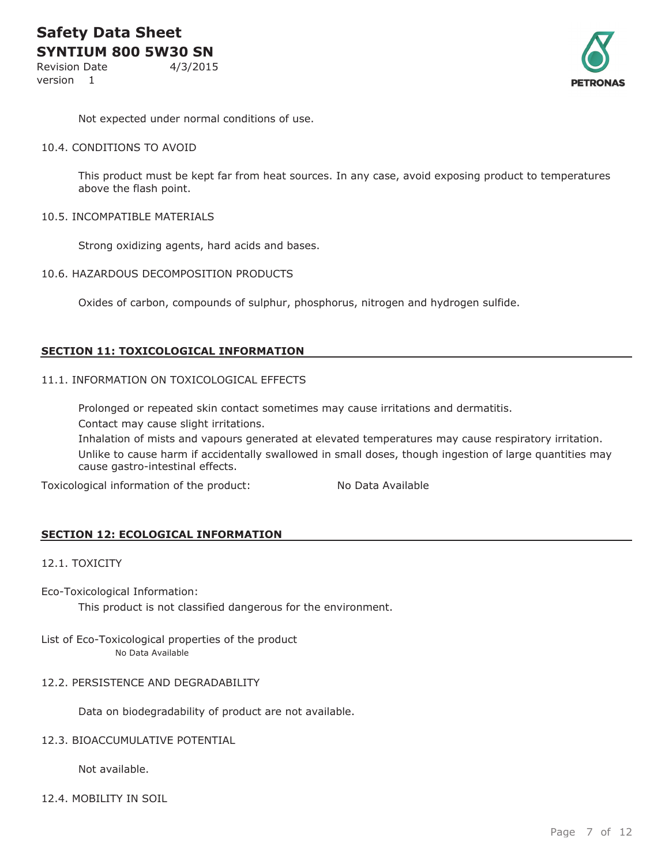Revision Date 4/3/2015 version 1



Not expected under normal conditions of use.

#### 10.4. CONDITIONS TO AVOID

This product must be kept far from heat sources. In any case, avoid exposing product to temperatures above the flash point.

#### 10.5. INCOMPATIBLE MATERIALS

Strong oxidizing agents, hard acids and bases.

#### 10.6. HAZARDOUS DECOMPOSITION PRODUCTS

Oxides of carbon, compounds of sulphur, phosphorus, nitrogen and hydrogen sulfide.

#### **SECTION 11: TOXICOLOGICAL INFORMATION**

#### 11.1. INFORMATION ON TOXICOLOGICAL EFFECTS

Prolonged or repeated skin contact sometimes may cause irritations and dermatitis. Contact may cause slight irritations.

Inhalation of mists and vapours generated at elevated temperatures may cause respiratory irritation. Unlike to cause harm if accidentally swallowed in small doses, though ingestion of large quantities may cause gastro-intestinal effects.

Toxicological information of the product: No Data Available

#### **SECTION 12: ECOLOGICAL INFORMATION**

#### 12.1. TOXICITY

Eco-Toxicological Information:

This product is not classified dangerous for the environment.

#### List of Eco-Toxicological properties of the product No Data Available

#### 12.2. PERSISTENCE AND DEGRADABILITY

Data on biodegradability of product are not available.

#### 12.3. BIOACCUMULATIVE POTENTIAL

Not available.

12.4. MOBILITY IN SOIL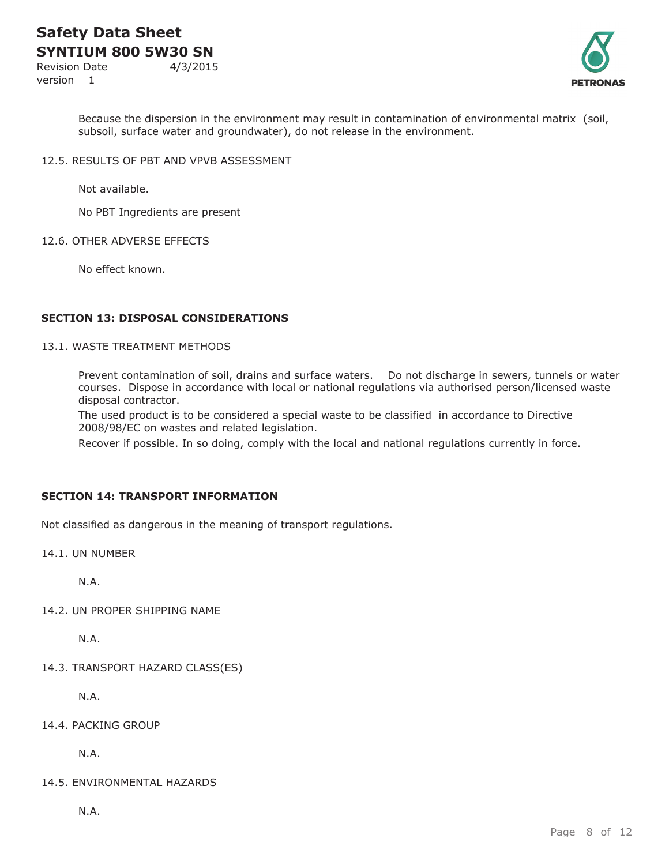Revision Date 4/3/2015 version 1



Because the dispersion in the environment may result in contamination of environmental matrix (soil, subsoil, surface water and groundwater), do not release in the environment.

12.5. RESULTS OF PBT AND VPVB ASSESSMENT

Not available.

No PBT Ingredients are present

#### 12.6. OTHER ADVERSE EFFECTS

No effect known.

#### **SECTION 13: DISPOSAL CONSIDERATIONS**

#### 13.1. WASTE TREATMENT METHODS

Prevent contamination of soil, drains and surface waters. Do not discharge in sewers, tunnels or water courses. Dispose in accordance with local or national regulations via authorised person/licensed waste disposal contractor.

The used product is to be considered a special waste to be classified in accordance to Directive 2008/98/EC on wastes and related legislation.

Recover if possible. In so doing, comply with the local and national regulations currently in force.

#### **SECTION 14: TRANSPORT INFORMATION**

Not classified as dangerous in the meaning of transport regulations.

14.1. UN NUMBER

N.A.

14.2. UN PROPER SHIPPING NAME

N.A.

14.3. TRANSPORT HAZARD CLASS(ES)

N.A.

14.4. PACKING GROUP

N.A.

14.5. ENVIRONMENTAL HAZARDS

N.A.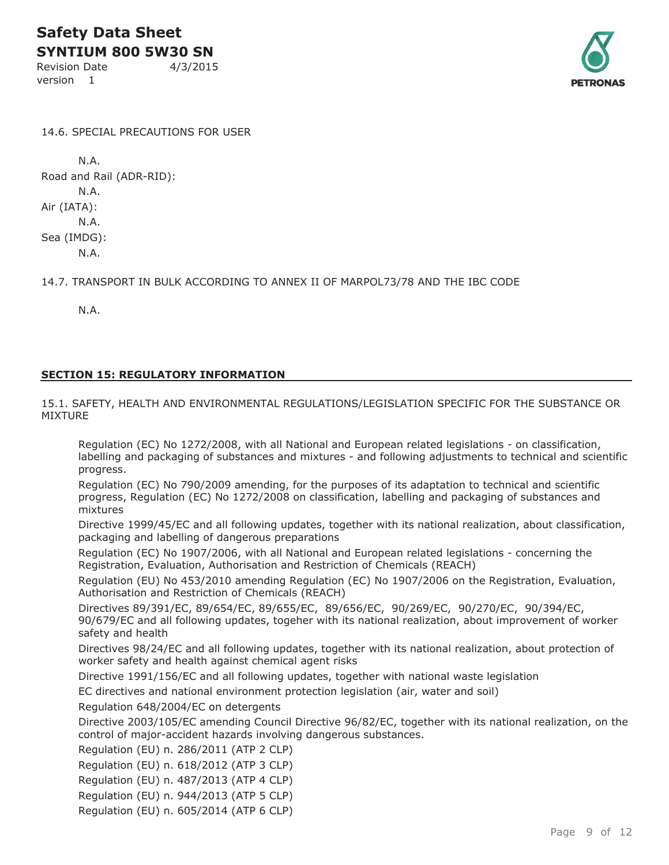**SYNTIUM 800 5W30 SN** Revision Date 4/3/2015

version 1



14.6. SPECIAL PRECAUTIONS FOR USER

N.A. Road and Rail (ADR-RID): N.A. Air (IATA): N.A. Sea (IMDG): N.A.

14.7. TRANSPORT IN BULK ACCORDING TO ANNEX II OF MARPOL73/78 AND THE IBC CODE

N.A.

#### **SECTION 15: REGULATORY INFORMATION**

15.1. SAFETY, HEALTH AND ENVIRONMENTAL REGULATIONS/LEGISLATION SPECIFIC FOR THE SUBSTANCE OR MIXTURE

Regulation (EC) No 1272/2008, with all National and European related legislations - on classification, labelling and packaging of substances and mixtures - and following adjustments to technical and scientific progress.

Regulation (EC) No 790/2009 amending, for the purposes of its adaptation to technical and scientific progress, Regulation (EC) No 1272/2008 on classification, labelling and packaging of substances and mixtures

Directive 1999/45/EC and all following updates, together with its national realization, about classification, packaging and labelling of dangerous preparations

Regulation (EC) No 1907/2006, with all National and European related legislations - concerning the Registration, Evaluation, Authorisation and Restriction of Chemicals (REACH)

Regulation (EU) No 453/2010 amending Regulation (EC) No 1907/2006 on the Registration, Evaluation, Authorisation and Restriction of Chemicals (REACH)

Directives 89/391/EC, 89/654/EC, 89/655/EC, 89/656/EC, 90/269/EC, 90/270/EC, 90/394/EC, 90/679/EC and all following updates, togeher with its national realization, about improvement of worker safety and health

Directives 98/24/EC and all following updates, together with its national realization, about protection of worker safety and health against chemical agent risks

Directive 1991/156/EC and all following updates, together with national waste legislation

EC directives and national environment protection legislation (air, water and soil)

Regulation 648/2004/EC on detergents

Directive 2003/105/EC amending Council Directive 96/82/EC, together with its national realization, on the control of major-accident hazards involving dangerous substances.

Regulation (EU) n. 286/2011 (ATP 2 CLP)

Regulation (EU) n. 618/2012 (ATP 3 CLP)

Regulation (EU) n. 487/2013 (ATP 4 CLP)

Regulation (EU) n. 944/2013 (ATP 5 CLP)

Regulation (EU) n. 605/2014 (ATP 6 CLP)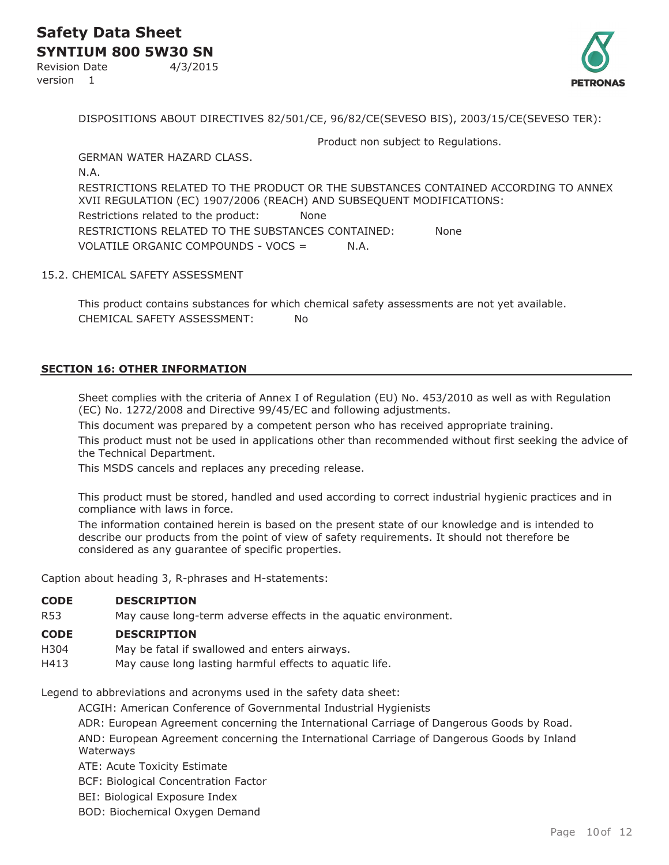Revision Date 4/3/2015 version 1

DISPOSITIONS ABOUT DIRECTIVES 82/501/CE, 96/82/CE(SEVESO BIS), 2003/15/CE(SEVESO TER):

Product non subject to Regulations.

GERMAN WATER HAZARD CLASS. N.A. RESTRICTIONS RELATED TO THE PRODUCT OR THE SUBSTANCES CONTAINED ACCORDING TO ANNEX XVII REGULATION (EC) 1907/2006 (REACH) AND SUBSEQUENT MODIFICATIONS: Restrictions related to the product: None RESTRICTIONS RELATED TO THE SUBSTANCES CONTAINED: None VOLATILE ORGANIC COMPOUNDS - VOCS = N.A.

#### 15.2. CHEMICAL SAFETY ASSESSMENT

This product contains substances for which chemical safety assessments are not yet available. CHEMICAL SAFETY ASSESSMENT: No

#### **SECTION 16: OTHER INFORMATION**

Sheet complies with the criteria of Annex I of Regulation (EU) No. 453/2010 as well as with Regulation (EC) No. 1272/2008 and Directive 99/45/EC and following adjustments.

This document was prepared by a competent person who has received appropriate training.

This product must not be used in applications other than recommended without first seeking the advice of the Technical Department.

This MSDS cancels and replaces any preceding release.

This product must be stored, handled and used according to correct industrial hygienic practices and in compliance with laws in force.

The information contained herein is based on the present state of our knowledge and is intended to describe our products from the point of view of safety requirements. It should not therefore be considered as any guarantee of specific properties.

Caption about heading 3, R-phrases and H-statements:

#### **CODE DESCRIPTION**

R53 May cause long-term adverse effects in the aquatic environment.

#### **CODE DESCRIPTION**

- H304 May be fatal if swallowed and enters airways.
- H413 May cause long lasting harmful effects to aquatic life.

Legend to abbreviations and acronyms used in the safety data sheet:

ACGIH: American Conference of Governmental Industrial Hygienists

ADR: European Agreement concerning the International Carriage of Dangerous Goods by Road.

AND: European Agreement concerning the International Carriage of Dangerous Goods by Inland Waterways

ATE: Acute Toxicity Estimate

BCF: Biological Concentration Factor

BEI: Biological Exposure Index

BOD: Biochemical Oxygen Demand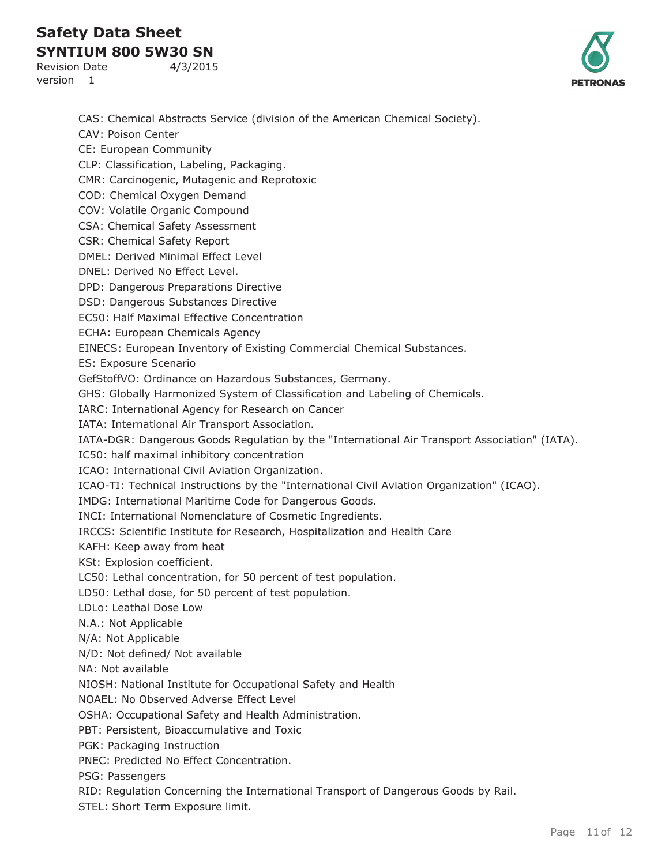**SYNTIUM 800 5W30 SN** Revision Date 4/3/2015

version 1



CAS: Chemical Abstracts Service (division of the American Chemical Society). CAV: Poison Center CE: European Community CLP: Classification, Labeling, Packaging. CMR: Carcinogenic, Mutagenic and Reprotoxic COD: Chemical Oxygen Demand COV: Volatile Organic Compound CSA: Chemical Safety Assessment CSR: Chemical Safety Report DMEL: Derived Minimal Effect Level DNEL: Derived No Effect Level. DPD: Dangerous Preparations Directive DSD: Dangerous Substances Directive EC50: Half Maximal Effective Concentration ECHA: European Chemicals Agency EINECS: European Inventory of Existing Commercial Chemical Substances. ES: Exposure Scenario GefStoffVO: Ordinance on Hazardous Substances, Germany. GHS: Globally Harmonized System of Classification and Labeling of Chemicals. IARC: International Agency for Research on Cancer IATA: International Air Transport Association. IATA-DGR: Dangerous Goods Regulation by the "International Air Transport Association" (IATA). IC50: half maximal inhibitory concentration ICAO: International Civil Aviation Organization. ICAO-TI: Technical Instructions by the "International Civil Aviation Organization" (ICAO). IMDG: International Maritime Code for Dangerous Goods. INCI: International Nomenclature of Cosmetic Ingredients. IRCCS: Scientific Institute for Research, Hospitalization and Health Care KAFH: Keep away from heat KSt: Explosion coefficient. LC50: Lethal concentration, for 50 percent of test population. LD50: Lethal dose, for 50 percent of test population. LDLo: Leathal Dose Low N.A.: Not Applicable N/A: Not Applicable N/D: Not defined/ Not available NA: Not available NIOSH: National Institute for Occupational Safety and Health NOAEL: No Observed Adverse Effect Level OSHA: Occupational Safety and Health Administration. PBT: Persistent, Bioaccumulative and Toxic PGK: Packaging Instruction PNEC: Predicted No Effect Concentration. PSG: Passengers RID: Regulation Concerning the International Transport of Dangerous Goods by Rail. STEL: Short Term Exposure limit.